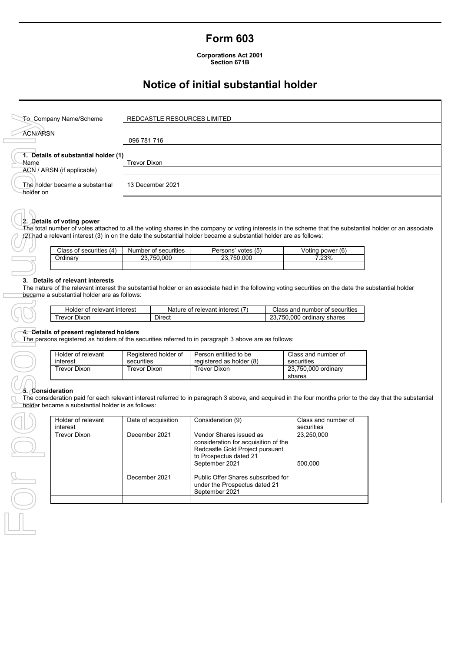## **Form 603**

**Corporations Act 2001 Section 671B**

# **Notice of initial substantial holder**

|                                                                | <b>To Company Name/Scheme</b>                                                   |                                    |                      | REDCASTLE RESOURCES LIMITED                                                                                                                               |  |                                                                                                                                                                                  |  |
|----------------------------------------------------------------|---------------------------------------------------------------------------------|------------------------------------|----------------------|-----------------------------------------------------------------------------------------------------------------------------------------------------------|--|----------------------------------------------------------------------------------------------------------------------------------------------------------------------------------|--|
| <b>ACN/ARSN</b>                                                |                                                                                 |                                    |                      |                                                                                                                                                           |  |                                                                                                                                                                                  |  |
|                                                                |                                                                                 |                                    | 096 781 716          |                                                                                                                                                           |  |                                                                                                                                                                                  |  |
|                                                                | 1. Details of substantial holder (1)                                            |                                    |                      |                                                                                                                                                           |  |                                                                                                                                                                                  |  |
| Name                                                           |                                                                                 | <b>Trevor Dixon</b>                |                      |                                                                                                                                                           |  |                                                                                                                                                                                  |  |
|                                                                | ACN / ARSN (if applicable)                                                      |                                    |                      |                                                                                                                                                           |  |                                                                                                                                                                                  |  |
| holder on                                                      | The holder became a substantial                                                 |                                    | 13 December 2021     |                                                                                                                                                           |  |                                                                                                                                                                                  |  |
|                                                                | 2. Details of voting power                                                      |                                    |                      | (2) had a relevant interest (3) in on the date the substantial holder became a substantial holder are as follows:                                         |  | The total number of votes attached to all the voting shares in the company or voting interests in the scheme that the substantial holder or an associate                         |  |
|                                                                | Class of securities (4)                                                         |                                    | Number of securities | Persons' votes (5)                                                                                                                                        |  | Voting power (6)                                                                                                                                                                 |  |
|                                                                | Ordinary                                                                        |                                    | 23,750,000           | 23,750,000                                                                                                                                                |  | 7.23%                                                                                                                                                                            |  |
|                                                                |                                                                                 |                                    |                      |                                                                                                                                                           |  |                                                                                                                                                                                  |  |
|                                                                | 3. Details of relevant interests<br>became a substantial holder are as follows: |                                    |                      |                                                                                                                                                           |  | The nature of the relevant interest the substantial holder or an associate had in the following voting securities on the date the substantial holder                             |  |
|                                                                | Holder of relevant interest<br><b>Trevor Dixon</b>                              |                                    | <b>Direct</b>        | Nature of relevant interest (7)                                                                                                                           |  | Class and number of securities<br>23,750,000 ordinary shares                                                                                                                     |  |
| 4. Details of present registered holders<br>Holder of relevant |                                                                                 | Registered holder of<br>securities |                      | The persons registered as holders of the securities referred to in paragraph 3 above are as follows:<br>Person entitled to be<br>registered as holder (8) |  | Class and number of<br>securities                                                                                                                                                |  |
|                                                                | interest<br><b>Trevor Dixon</b>                                                 | <b>Trevor Dixon</b>                |                      | <b>Trevor Dixon</b>                                                                                                                                       |  | 23,750,000 ordinary                                                                                                                                                              |  |
|                                                                |                                                                                 |                                    |                      |                                                                                                                                                           |  | shares                                                                                                                                                                           |  |
| 5. Consideration                                               | holder became a substantial holder is as follows:<br>Holder of relevant         |                                    | Date of acquisition  | Consideration (9)                                                                                                                                         |  | The consideration paid for each relevant interest referred to in paragraph 3 above, and acquired in the four months prior to the day that the substantial<br>Class and number of |  |
|                                                                | interest<br><b>Trevor Dixon</b>                                                 | December 2021                      |                      | Vendor Shares issued as<br>consideration for acquisition of the<br>Redcastle Gold Project pursuant<br>to Prospectus dated 21<br>September 2021            |  | securities<br>23,250,000<br>500,000                                                                                                                                              |  |
|                                                                |                                                                                 | December 2021                      |                      | Public Offer Shares subscribed for<br>under the Prospectus dated 21<br>September 2021                                                                     |  |                                                                                                                                                                                  |  |
|                                                                |                                                                                 |                                    |                      |                                                                                                                                                           |  |                                                                                                                                                                                  |  |

## **2. Details of voting power**

| Class of securities (4) | Number of securities | $'$ votes $(5)$<br>Persons' | Voting power (6) |
|-------------------------|----------------------|-----------------------------|------------------|
| Ordinarv                | 23.750.000           | 23.750.000                  | 7.23%            |
|                         |                      |                             |                  |

#### **3. Details of relevant interests**

| ้ interest<br>relevant<br>Holder<br>nt | relevant<br>Nature<br>* interes∟<br>റ് | l number of securities<br>and<br>∴lass |
|----------------------------------------|----------------------------------------|----------------------------------------|
| revor<br>Jixor                         | Dırect                                 | .000<br>750.<br>ordinary<br>shares     |

#### **4. Details of present registered holders**

| Holder of relevant | Registered holder of | Person entitled to be    | Class and number of           |
|--------------------|----------------------|--------------------------|-------------------------------|
| interest           | securities           | registered as holder (8) | securities                    |
| Trevor Dixon       | Trevor Dixon         | Trevor Dixon             | 23.750.000 ordinary<br>shares |

### **5. Consideration**

| Holder of relevant<br>interest | Date of acquisition | Consideration (9)                                                                                                                              | Class and number of<br>securities |
|--------------------------------|---------------------|------------------------------------------------------------------------------------------------------------------------------------------------|-----------------------------------|
| <b>Trevor Dixon</b>            | December 2021       | Vendor Shares issued as<br>consideration for acquisition of the<br>Redcastle Gold Project pursuant<br>to Prospectus dated 21<br>September 2021 | 23.250.000<br>500.000             |
|                                | December 2021       | Public Offer Shares subscribed for<br>under the Prospectus dated 21<br>September 2021                                                          |                                   |
|                                |                     |                                                                                                                                                |                                   |